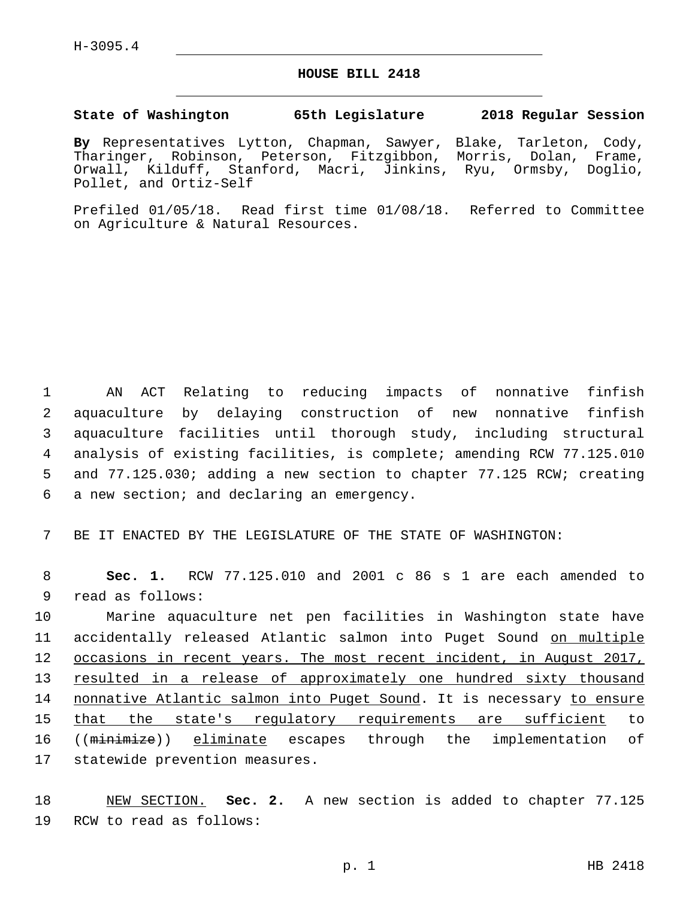## **HOUSE BILL 2418**

## **State of Washington 65th Legislature 2018 Regular Session**

**By** Representatives Lytton, Chapman, Sawyer, Blake, Tarleton, Cody, Tharinger, Robinson, Peterson, Fitzgibbon, Morris, Dolan, Frame, Orwall, Kilduff, Stanford, Macri, Jinkins, Ryu, Ormsby, Doglio, Pollet, and Ortiz-Self

Prefiled 01/05/18. Read first time 01/08/18. Referred to Committee on Agriculture & Natural Resources.

 AN ACT Relating to reducing impacts of nonnative finfish aquaculture by delaying construction of new nonnative finfish aquaculture facilities until thorough study, including structural analysis of existing facilities, is complete; amending RCW 77.125.010 and 77.125.030; adding a new section to chapter 77.125 RCW; creating 6 a new section; and declaring an emergency.

7 BE IT ENACTED BY THE LEGISLATURE OF THE STATE OF WASHINGTON:

8 **Sec. 1.** RCW 77.125.010 and 2001 c 86 s 1 are each amended to 9 read as follows:

10 Marine aquaculture net pen facilities in Washington state have 11 accidentally released Atlantic salmon into Puget Sound on multiple 12 occasions in recent years. The most recent incident, in August 2017, 13 resulted in a release of approximately one hundred sixty thousand 14 nonnative Atlantic salmon into Puget Sound. It is necessary to ensure 15 that the state's regulatory requirements are sufficient to 16 ((minimize)) eliminate escapes through the implementation of 17 statewide prevention measures.

18 NEW SECTION. **Sec. 2.** A new section is added to chapter 77.125 19 RCW to read as follows: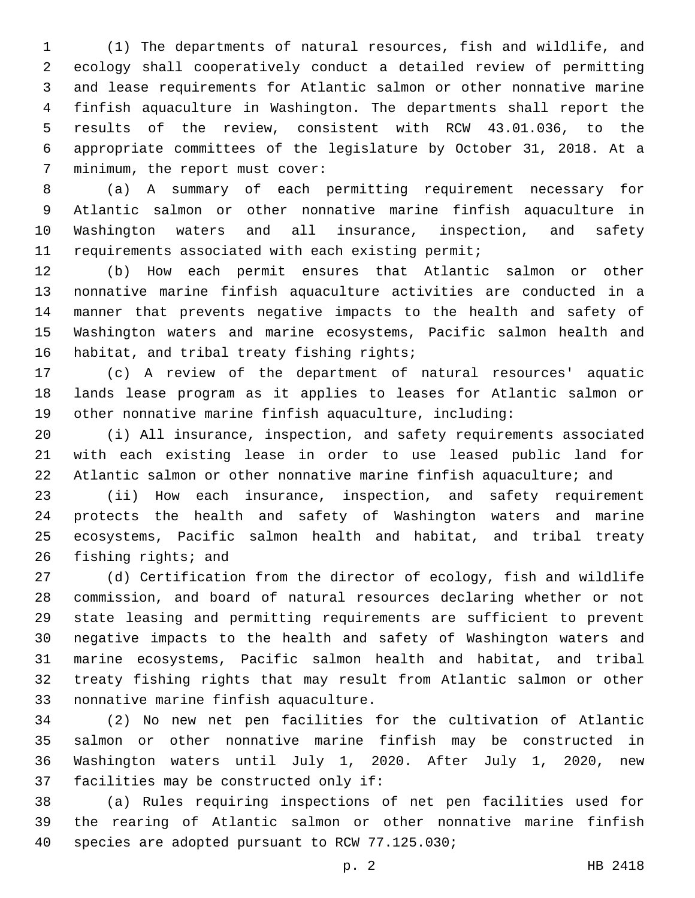(1) The departments of natural resources, fish and wildlife, and ecology shall cooperatively conduct a detailed review of permitting and lease requirements for Atlantic salmon or other nonnative marine finfish aquaculture in Washington. The departments shall report the results of the review, consistent with RCW 43.01.036, to the appropriate committees of the legislature by October 31, 2018. At a 7 minimum, the report must cover:

 (a) A summary of each permitting requirement necessary for Atlantic salmon or other nonnative marine finfish aquaculture in Washington waters and all insurance, inspection, and safety requirements associated with each existing permit;

 (b) How each permit ensures that Atlantic salmon or other nonnative marine finfish aquaculture activities are conducted in a manner that prevents negative impacts to the health and safety of Washington waters and marine ecosystems, Pacific salmon health and 16 habitat, and tribal treaty fishing rights;

 (c) A review of the department of natural resources' aquatic lands lease program as it applies to leases for Atlantic salmon or other nonnative marine finfish aquaculture, including:

 (i) All insurance, inspection, and safety requirements associated with each existing lease in order to use leased public land for Atlantic salmon or other nonnative marine finfish aquaculture; and

 (ii) How each insurance, inspection, and safety requirement protects the health and safety of Washington waters and marine ecosystems, Pacific salmon health and habitat, and tribal treaty 26 fishing rights; and

 (d) Certification from the director of ecology, fish and wildlife commission, and board of natural resources declaring whether or not state leasing and permitting requirements are sufficient to prevent negative impacts to the health and safety of Washington waters and marine ecosystems, Pacific salmon health and habitat, and tribal treaty fishing rights that may result from Atlantic salmon or other 33 nonnative marine finfish aquaculture.

 (2) No new net pen facilities for the cultivation of Atlantic salmon or other nonnative marine finfish may be constructed in Washington waters until July 1, 2020. After July 1, 2020, new 37 facilities may be constructed only if:

 (a) Rules requiring inspections of net pen facilities used for the rearing of Atlantic salmon or other nonnative marine finfish 40 species are adopted pursuant to RCW 77.125.030;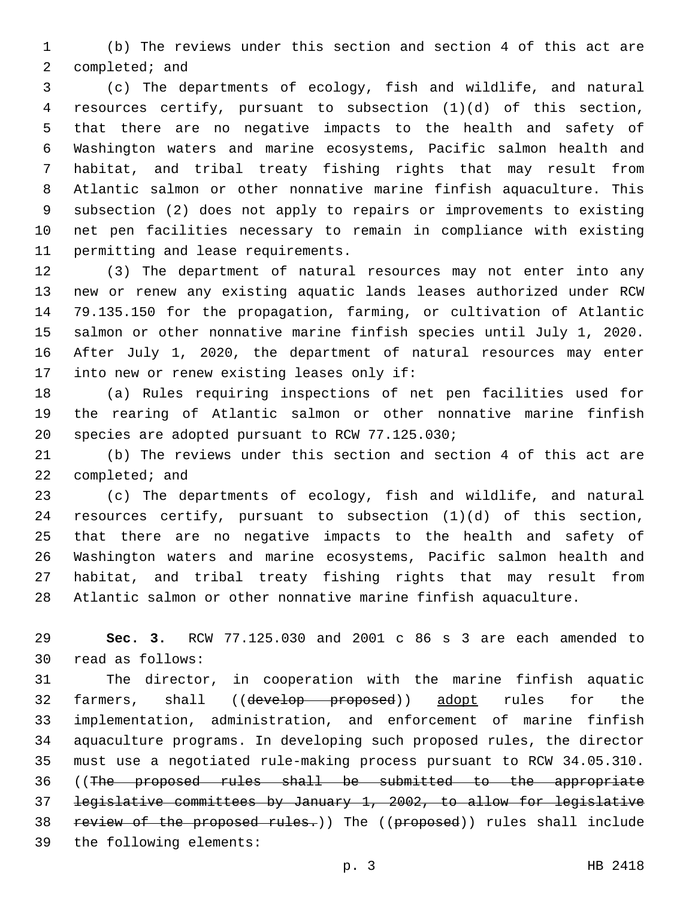(b) The reviews under this section and section 4 of this act are completed; and

 (c) The departments of ecology, fish and wildlife, and natural resources certify, pursuant to subsection (1)(d) of this section, that there are no negative impacts to the health and safety of Washington waters and marine ecosystems, Pacific salmon health and habitat, and tribal treaty fishing rights that may result from Atlantic salmon or other nonnative marine finfish aquaculture. This subsection (2) does not apply to repairs or improvements to existing net pen facilities necessary to remain in compliance with existing 11 permitting and lease requirements.

 (3) The department of natural resources may not enter into any new or renew any existing aquatic lands leases authorized under RCW 79.135.150 for the propagation, farming, or cultivation of Atlantic salmon or other nonnative marine finfish species until July 1, 2020. After July 1, 2020, the department of natural resources may enter 17 into new or renew existing leases only if:

 (a) Rules requiring inspections of net pen facilities used for the rearing of Atlantic salmon or other nonnative marine finfish 20 species are adopted pursuant to RCW 77.125.030;

 (b) The reviews under this section and section 4 of this act are 22 completed; and

 (c) The departments of ecology, fish and wildlife, and natural resources certify, pursuant to subsection (1)(d) of this section, that there are no negative impacts to the health and safety of Washington waters and marine ecosystems, Pacific salmon health and habitat, and tribal treaty fishing rights that may result from Atlantic salmon or other nonnative marine finfish aquaculture.

 **Sec. 3.** RCW 77.125.030 and 2001 c 86 s 3 are each amended to 30 read as follows:

 The director, in cooperation with the marine finfish aquatic 32 farmers, shall ((develop proposed)) adopt rules for the implementation, administration, and enforcement of marine finfish aquaculture programs. In developing such proposed rules, the director must use a negotiated rule-making process pursuant to RCW 34.05.310. ((The proposed rules shall be submitted to the appropriate legislative committees by January 1, 2002, to allow for legislative 38 review of the proposed rules.)) The ((proposed)) rules shall include 39 the following elements: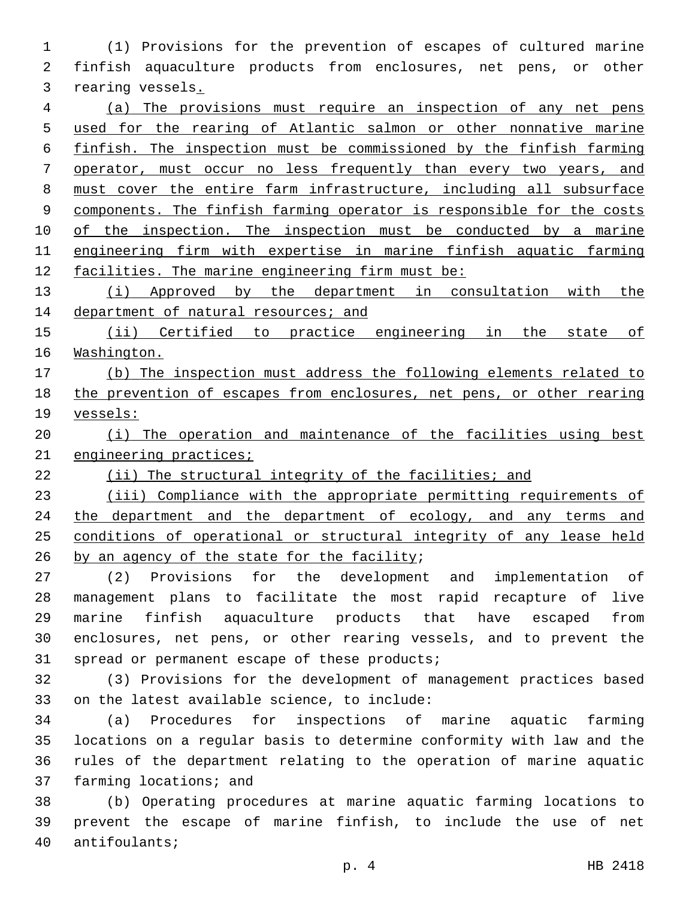(1) Provisions for the prevention of escapes of cultured marine finfish aquaculture products from enclosures, net pens, or other rearing vessels.

 (a) The provisions must require an inspection of any net pens used for the rearing of Atlantic salmon or other nonnative marine finfish. The inspection must be commissioned by the finfish farming operator, must occur no less frequently than every two years, and must cover the entire farm infrastructure, including all subsurface components. The finfish farming operator is responsible for the costs 10 of the inspection. The inspection must be conducted by a marine engineering firm with expertise in marine finfish aquatic farming facilities. The marine engineering firm must be:

 (i) Approved by the department in consultation with the 14 department of natural resources; and

15 (ii) Certified to practice engineering in the state of Washington.

 (b) The inspection must address the following elements related to the prevention of escapes from enclosures, net pens, or other rearing vessels:

20 (i) The operation and maintenance of the facilities using best 21 engineering practices;

(ii) The structural integrity of the facilities; and

 (iii) Compliance with the appropriate permitting requirements of 24 the department and the department of ecology, and any terms and conditions of operational or structural integrity of any lease held by an agency of the state for the facility;

 (2) Provisions for the development and implementation of management plans to facilitate the most rapid recapture of live marine finfish aquaculture products that have escaped from enclosures, net pens, or other rearing vessels, and to prevent the 31 spread or permanent escape of these products;

 (3) Provisions for the development of management practices based 33 on the latest available science, to include:

 (a) Procedures for inspections of marine aquatic farming locations on a regular basis to determine conformity with law and the rules of the department relating to the operation of marine aquatic 37 farming locations; and

 (b) Operating procedures at marine aquatic farming locations to prevent the escape of marine finfish, to include the use of net 40 antifoulants;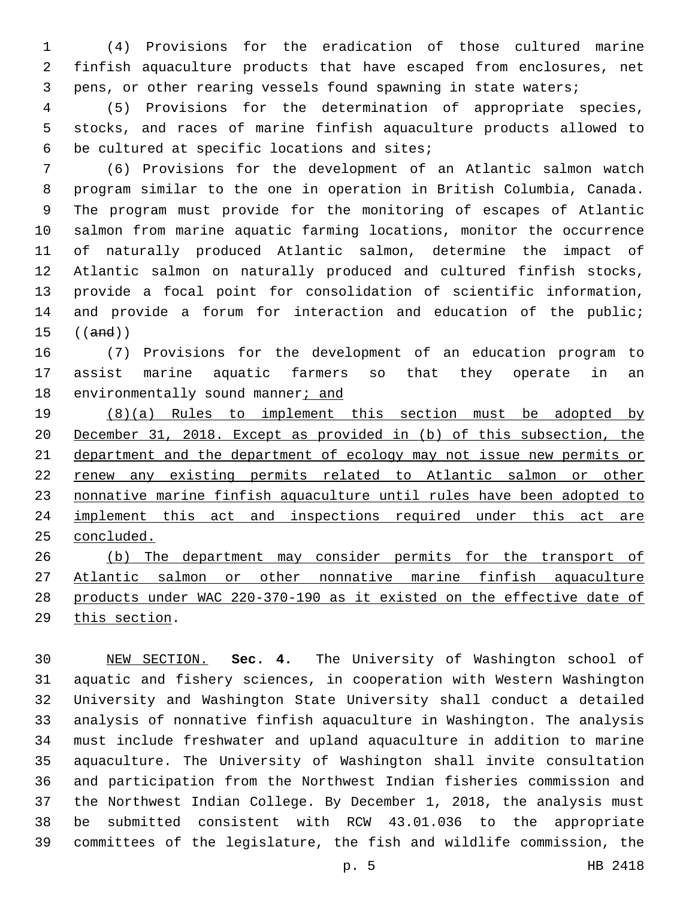(4) Provisions for the eradication of those cultured marine finfish aquaculture products that have escaped from enclosures, net pens, or other rearing vessels found spawning in state waters;

 (5) Provisions for the determination of appropriate species, stocks, and races of marine finfish aquaculture products allowed to 6 be cultured at specific locations and sites;

 (6) Provisions for the development of an Atlantic salmon watch program similar to the one in operation in British Columbia, Canada. The program must provide for the monitoring of escapes of Atlantic salmon from marine aquatic farming locations, monitor the occurrence of naturally produced Atlantic salmon, determine the impact of Atlantic salmon on naturally produced and cultured finfish stocks, provide a focal point for consolidation of scientific information, 14 and provide a forum for interaction and education of the public; ((and))

 (7) Provisions for the development of an education program to assist marine aquatic farmers so that they operate in an 18 environmentally sound manner; and

 (8)(a) Rules to implement this section must be adopted by December 31, 2018. Except as provided in (b) of this subsection, the department and the department of ecology may not issue new permits or renew any existing permits related to Atlantic salmon or other nonnative marine finfish aquaculture until rules have been adopted to 24 implement this act and inspections required under this act are concluded.

 (b) The department may consider permits for the transport of Atlantic salmon or other nonnative marine finfish aquaculture products under WAC 220-370-190 as it existed on the effective date of 29 this section.

 NEW SECTION. **Sec. 4.** The University of Washington school of aquatic and fishery sciences, in cooperation with Western Washington University and Washington State University shall conduct a detailed analysis of nonnative finfish aquaculture in Washington. The analysis must include freshwater and upland aquaculture in addition to marine aquaculture. The University of Washington shall invite consultation and participation from the Northwest Indian fisheries commission and the Northwest Indian College. By December 1, 2018, the analysis must be submitted consistent with RCW 43.01.036 to the appropriate committees of the legislature, the fish and wildlife commission, the